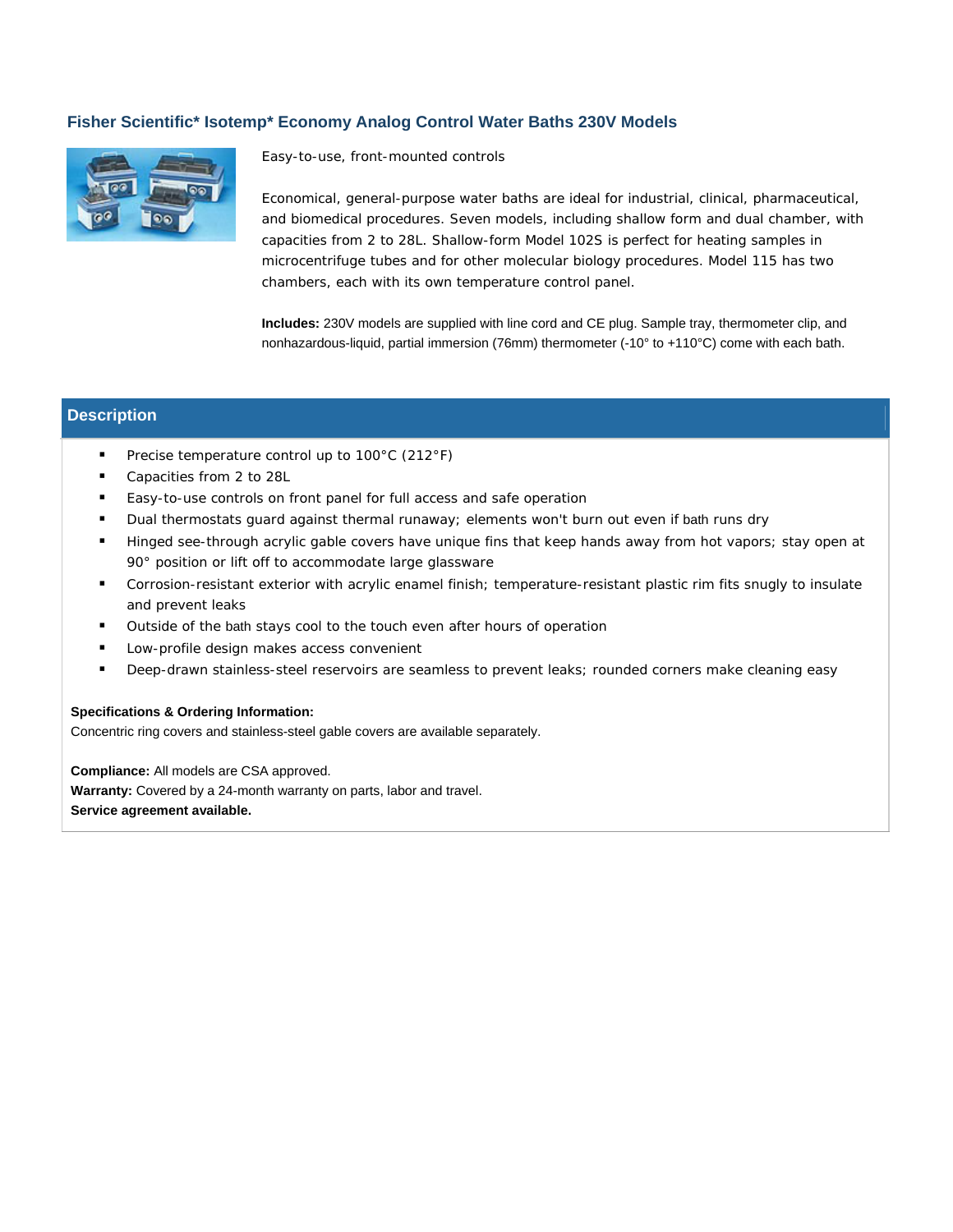## **Fisher Scientific\* Isotemp\* Economy Analog Control Water Baths 230V Models**



Easy-to-use, front-mounted controls

Economical, general-purpose water baths are ideal for industrial, clinical, pharmaceutical, and biomedical procedures. Seven models, including shallow form and dual chamber, with capacities from 2 to 28L. Shallow-form Model 102S is perfect for heating samples in microcentrifuge tubes and for other molecular biology procedures. Model 115 has two chambers, each with its own temperature control panel.

**Includes:** 230V models are supplied with line cord and CE plug. Sample tray, thermometer clip, and nonhazardous-liquid, partial immersion (76mm) thermometer (-10° to +110°C) come with each bath.

## **Description**

- **Precise temperature control up to 100°C (212°F)**
- Capacities from 2 to 28L
- Easy-to-use controls on front panel for full access and safe operation
- Dual thermostats guard against thermal runaway; elements won't burn out even if bath runs dry
- Hinged see-through acrylic gable covers have unique fins that keep hands away from hot vapors; stay open at 90° position or lift off to accommodate large glassware
- Corrosion-resistant exterior with acrylic enamel finish; temperature-resistant plastic rim fits snugly to insulate and prevent leaks
- Outside of the bath stays cool to the touch even after hours of operation
- **Low-profile design makes access convenient**
- **Deep-drawn stainless-steel reservoirs are seamless to prevent leaks; rounded corners make cleaning easy**

## **Specifications & Ordering Information:**

Concentric ring covers and stainless-steel gable covers are available separately.

**Compliance:** All models are CSA approved. **Warranty:** Covered by a 24-month warranty on parts, labor and travel. **Service agreement available.**